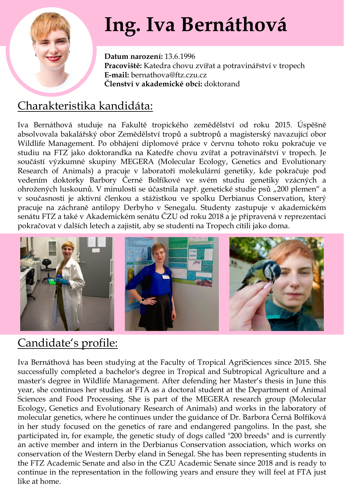

# **Ing. Iva Bernáthová**

**Datum narození:** 13.6.1996 **Pracoviště:** Katedra chovu zvířat a potravinářství v tropech **E-mail:** bernathova@ftz.czu.cz **Členství v akademické obci:** doktorand

# Charakteristika kandidáta:

Iva Bernáthová studuje na Fakultě tropického zemědělství od roku 2015. Úspěšně absolvovala bakalářský obor Zemědělství tropů a subtropů a magisterský navazující obor Wildlife Management. Po obhájení diplomové práce v červnu tohoto roku pokračuje ve studiu na FTZ jako doktorandka na Katedře chovu zvířat a potravinářství v tropech. Je součástí výzkumné skupiny MEGERA (Molecular Ecology, Genetics and Evolutionary Research of Animals) a pracuje v laboratoři molekulární genetiky, kde pokračuje pod vedením doktorky Barbory Černé Bolfíkové ve svém studiu genetiky vzácných a ohrožených luskounů. V minulosti se účastnila např. genetické studie psů "200 plemen" a v současnosti je aktivní členkou a stážistkou ve spolku Derbianus Conservation, který pracuje na záchraně antilopy Derbyho v Senegalu. Studenty zastupuje v akademickém senátu FTZ a také v Akademickém senátu ČZU od roku 2018 a je připravená v reprezentaci pokračovat v dalších letech a zajistit, aby se studenti na Tropech cítili jako doma.



# Candidate's profile:

Iva Bernáthová has been studying at the Faculty of Tropical AgriSciences since 2015. She successfully completed a bachelor's degree in Tropical and Subtropical Agriculture and a master's degree in Wildlife Management. After defending her Master's thesis in June this year, she continues her studies at FTA as a doctoral student at the Department of Animal Sciences and Food Processing. She is part of the MEGERA research group (Molecular Ecology, Genetics and Evolutionary Research of Animals) and works in the laboratory of molecular genetics, where he continues under the guidance of Dr. Barbora Černá Bolfíková in her study focused on the genetics of rare and endangered pangolins. In the past, she participated in, for example, the genetic study of dogs called "200 breeds" and is currently an active member and intern in the Derbianus Conservation association, which works on conservation of the Western Derby eland in Senegal. She has been representing students in the FTZ Academic Senate and also in the CZU Academic Senate since 2018 and is ready to continue in the representation in the following years and ensure they will feel at FTA just like at home.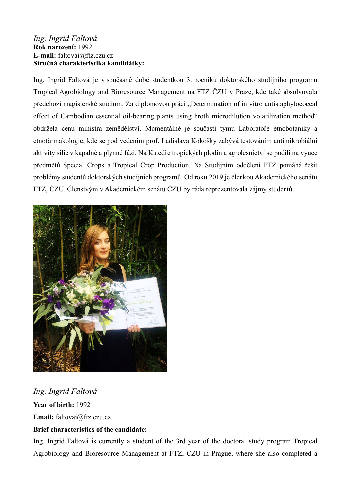### Ing. Ingrid Faltová Rok narození: 1992 E-mail: faltovai@ftz.czu.cz Stručná charakteristika kandidátky:

Ing. Ingrid Faltová je v současné době studentkou 3. ročníku doktorského studijního programu Tropical Agrobiology and Bioresource Management na FTZ ČZU v Praze, kde také absolvovala předchozí magisterské studium. Za diplomovou práci "Determination of in vitro antistaphylococcal effect of Cambodian essential oil-bearing plants using broth microdilution volatilization method" obdržela cenu ministra zemědělství. Momentálně je součástí týmu Laboratoře etnobotaniky a etnofarmakologie, kde se pod vedením prof. Ladislava Kokošky zabývá testováním antimikrobiální aktivity silic v kapalné a plynné fázi. Na Katedře tropických plodin a agrolesnictví se podílí na výuce předmětů Special Crops a Tropical Crop Production. Na Studijním oddělení FTZ pomáhá řešit problémy studentů doktorských studijních programů. Od roku 2019 je členkou Akademického senátu FTZ, ČZU. Členstvým v Akademickém senátu ČZU by ráda reprezentovala zájmy studentů.



Ing. Ingrid Faltová Year of birth: 1992

Email: faltovai@ftz.czu.cz

## Brief characteristics of the candidate:

Ing. Ingrid Faltová is currently a student of the 3rd year of the doctoral study program Tropical Agrobiology and Bioresource Management at FTZ, CZU in Prague, where she also completed a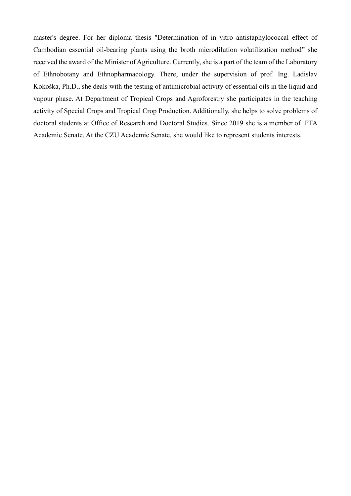master's degree. For her diploma thesis "Determination of in vitro antistaphylococcal effect of Cambodian essential oil-bearing plants using the broth microdilution volatilization method" she received the award of the Minister of Agriculture. Currently, she is a part of the team of the Laboratory of Ethnobotany and Ethnopharmacology. There, under the supervision of prof. Ing. Ladislav Kokoška, Ph.D., she deals with the testing of antimicrobial activity of essential oils in the liquid and vapour phase. At Department of Tropical Crops and Agroforestry she participates in the teaching activity of Special Crops and Tropical Crop Production. Additionally, she helps to solve problems of doctoral students at Office of Research and Doctoral Studies. Since 2019 she is a member of FTA Academic Senate. At the CZU Academic Senate, she would like to represent students interests.